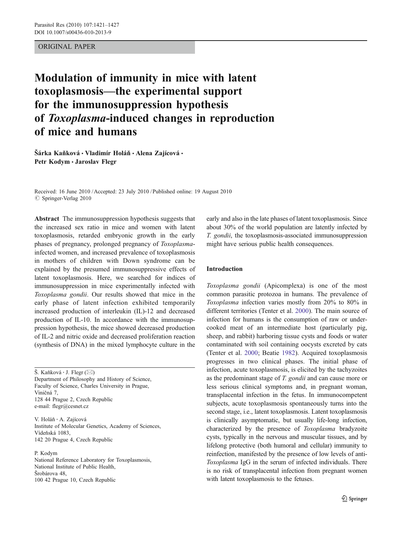# ORIGINAL PAPER

# Modulation of immunity in mice with latent toxoplasmosis—the experimental support for the immunosuppression hypothesis of Toxoplasma-induced changes in reproduction of mice and humans

Šárka Kaňková • Vladimír Holáň • Alena Zajícová • Petr Kodym · Jaroslav Flegr

Received: 16 June 2010 /Accepted: 23 July 2010 / Published online: 19 August 2010  $\oslash$  Springer-Verlag 2010

Abstract The immunosuppression hypothesis suggests that the increased sex ratio in mice and women with latent toxoplasmosis, retarded embryonic growth in the early phases of pregnancy, prolonged pregnancy of Toxoplasmainfected women, and increased prevalence of toxoplasmosis in mothers of children with Down syndrome can be explained by the presumed immunosuppressive effects of latent toxoplasmosis. Here, we searched for indices of immunosuppression in mice experimentally infected with Toxoplasma gondii. Our results showed that mice in the early phase of latent infection exhibited temporarily increased production of interleukin (IL)-12 and decreased production of IL-10. In accordance with the immunosuppression hypothesis, the mice showed decreased production of IL-2 and nitric oxide and decreased proliferation reaction (synthesis of DNA) in the mixed lymphocyte culture in the

Š. Kaňková  $\cdot$  J. Flegr ( $\boxtimes$ ) Department of Philosophy and History of Science, Faculty of Science, Charles University in Prague, Viničná 7, 128 44 Prague 2, Czech Republic e-mail: flegr@cesnet.cz

V. Holá<sup>ň</sup> : A. Zajícová Institute of Molecular Genetics, Academy of Sciences, Vídeňská 1083, 142 20 Prague 4, Czech Republic

P. Kodym National Reference Laboratory for Toxoplasmosis, National Institute of Public Health, Šrobárova 48,

100 42 Prague 10, Czech Republic

early and also in the late phases of latent toxoplasmosis. Since about 30% of the world population are latently infected by T. gondii, the toxoplasmosis-associated immunosuppression might have serious public health consequences.

# Introduction

Toxoplasma gondii (Apicomplexa) is one of the most common parasitic protozoa in humans. The prevalence of Toxoplasma infection varies mostly from 20% to 80% in different territories (Tenter et al. [2000\)](#page-6-0). The main source of infection for humans is the consumption of raw or undercooked meat of an intermediate host (particularly pig, sheep, and rabbit) harboring tissue cysts and foods or water contaminated with soil containing oocysts excreted by cats (Tenter et al. [2000](#page-6-0); Beatie [1982\)](#page-5-0). Acquired toxoplasmosis progresses in two clinical phases. The initial phase of infection, acute toxoplasmosis, is elicited by the tachyzoites as the predominant stage of T. gondii and can cause more or less serious clinical symptoms and, in pregnant woman, transplacental infection in the fetus. In immunocompetent subjects, acute toxoplasmosis spontaneously turns into the second stage, i.e., latent toxoplasmosis. Latent toxoplasmosis is clinically asymptomatic, but usually life-long infection, characterized by the presence of Toxoplasma bradyzoite cysts, typically in the nervous and muscular tissues, and by lifelong protective (both humoral and cellular) immunity to reinfection, manifested by the presence of low levels of anti-Toxoplasma IgG in the serum of infected individuals. There is no risk of transplacental infection from pregnant women with latent toxoplasmosis to the fetuses.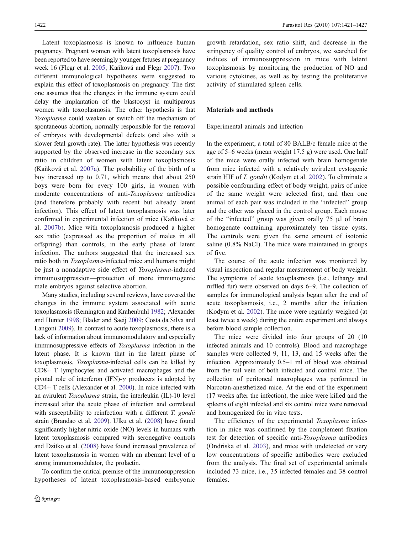Latent toxoplasmosis is known to influence human pregnancy. Pregnant women with latent toxoplasmosis have been reported to have seemingly younger fetuses at pregnancy week 16 (Flegr et al. [2005](#page-5-0); Kaňková and Flegr [2007\)](#page-6-0). Two different immunological hypotheses were suggested to explain this effect of toxoplasmosis on pregnancy. The first one assumes that the changes in the immune system could delay the implantation of the blastocyst in multiparous women with toxoplasmosis. The other hypothesis is that Toxoplasma could weaken or switch off the mechanism of spontaneous abortion, normally responsible for the removal of embryos with developmental defects (and also with a slower fetal growth rate). The latter hypothesis was recently supported by the observed increase in the secondary sex ratio in children of women with latent toxoplasmosis (Kaňková et al. [2007a](#page-6-0)). The probability of the birth of a boy increased up to 0.71, which means that about 250 boys were born for every 100 girls, in women with moderate concentrations of anti-Toxoplasma antibodies (and therefore probably with recent but already latent infection). This effect of latent toxoplasmosis was later confirmed in experimental infection of mice (Kaňková et al. [2007b\)](#page-6-0). Mice with toxoplasmosis produced a higher sex ratio (expressed as the proportion of males in all offspring) than controls, in the early phase of latent infection. The authors suggested that the increased sex ratio both in *Toxoplasma*-infected mice and humans might be just a nonadaptive side effect of Toxoplasma-induced immunosuppression—protection of more immunogenic male embryos against selective abortion.

Many studies, including several reviews, have covered the changes in the immune system associated with acute toxoplasmosis (Remington and Krahenbuhl [1982](#page-6-0); Alexander and Hunter [1998](#page-5-0); Blader and Saeij [2009;](#page-5-0) Costa da Silva and Langoni [2009](#page-5-0)). In contrast to acute toxoplasmosis, there is a lack of information about immunomodulatory and especially immunosuppressive effects of Toxoplasma infection in the latent phase. It is known that in the latent phase of toxoplasmosis, Toxoplasma-infected cells can be killed by CD8+ T lymphocytes and activated macrophages and the pivotal role of interferon (IFN)- $γ$  producers is adopted by CD4+ T cells (Alexander et al. [2000\)](#page-5-0). In mice infected with an avirulent Toxoplasma strain, the interleukin (IL)-10 level increased after the acute phase of infection and correlated with susceptibility to reinfection with a different T. gondii strain (Brandao et al. [2009\)](#page-5-0). Ulku et al. ([2008](#page-6-0)) have found significantly higher nitric oxide (NO) levels in humans with latent toxoplasmosis compared with seronegative controls and Dzitko et al. [\(2008\)](#page-5-0) have found increased prevalence of latent toxoplasmosis in women with an aberrant level of a strong immunomodulator, the prolactin.

To confirm the critical premise of the immunosuppression hypotheses of latent toxoplasmosis-based embryonic growth retardation, sex ratio shift, and decrease in the stringency of quality control of embryos, we searched for indices of immunosuppression in mice with latent toxoplasmosis by monitoring the production of NO and various cytokines, as well as by testing the proliferative activity of stimulated spleen cells.

# Materials and methods

#### Experimental animals and infection

In the experiment, a total of 80 BALB/c female mice at the age of 5–6 weeks (mean weight 17.5 g) were used. One half of the mice were orally infected with brain homogenate from mice infected with a relatively avirulent cystogenic strain HIF of T. gondii (Kodym et al. [2002\)](#page-6-0). To eliminate a possible confounding effect of body weight, pairs of mice of the same weight were selected first, and then one animal of each pair was included in the "infected" group and the other was placed in the control group. Each mouse of the "infected" group was given orally 75 μl of brain homogenate containing approximately ten tissue cysts. The controls were given the same amount of isotonic saline (0.8% NaCl). The mice were maintained in groups of five.

The course of the acute infection was monitored by visual inspection and regular measurement of body weight. The symptoms of acute toxoplasmosis (i.e., lethargy and ruffled fur) were observed on days 6–9. The collection of samples for immunological analysis began after the end of acute toxoplasmosis, i.e., 2 months after the infection (Kodym et al. [2002\)](#page-6-0). The mice were regularly weighed (at least twice a week) during the entire experiment and always before blood sample collection.

The mice were divided into four groups of 20 (10 infected animals and 10 controls). Blood and macrophage samples were collected 9, 11, 13, and 15 weeks after the infection. Approximately 0.5–1 ml of blood was obtained from the tail vein of both infected and control mice. The collection of peritoneal macrophages was performed in Narcotan-anesthetized mice. At the end of the experiment (17 weeks after the infection), the mice were killed and the spleens of eight infected and six control mice were removed and homogenized for in vitro tests.

The efficiency of the experimental Toxoplasma infection in mice was confirmed by the complement fixation test for detection of specific anti-Toxoplasma antibodies (Ondriska et al. [2003\)](#page-6-0), and mice with undetected or very low concentrations of specific antibodies were excluded from the analysis. The final set of experimental animals included 73 mice, i.e., 35 infected females and 38 control females.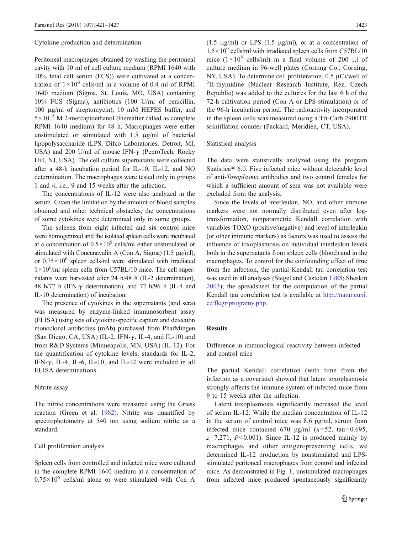#### Cytokine production and determination

Peritoneal macrophages obtained by washing the peritoneal cavity with 10 ml of cell culture medium (RPMI 1640 with 10% fetal calf serum (FCS)) were cultivated at a concentration of  $1 \times 10^6$  cells/ml in a volume of 0.4 ml of RPMI 1640 medium (Sigma, St. Louis, MO, USA) containing 10% FCS (Sigma), antibiotics (100 U/ml of penicillin, 100 μg/ml of streptomycin), 10 mM HEPES buffer, and  $5 \times 10^{-5}$  M 2-mercaptoethanol (thereafter called as complete RPMI 1640 medium) for 48 h. Macrophages were either unstimulated or stimulated with 1.5 μg/ml of bacterial lipopolysaccharide (LPS, Difco Laboratories, Detroit, MI, USA) and 200 U/ml of mouse IFN-γ (PeproTech, Rocky Hill, NJ, USA). The cell culture supernatants were collected after a 48-h incubation period for IL-10, IL-12, and NO determination. The macrophages were tested only in groups 1 and 4, i.e., 9 and 15 weeks after the infection.

The concentrations of IL-12 were also analyzed in the serum. Given the limitation by the amount of blood samples obtained and other technical obstacles, the concentrations of some cytokines were determined only in some groups.

The spleens from eight infected and six control mice were homogenized and the isolated spleen cells were incubated at a concentration of  $0.5 \times 10^6$  cells/ml either unstimulated or stimulated with Concanavalin A (Con A, Sigma) (1.5 μg/ml), or  $0.75 \times 10^6$  spleen cells/ml were stimulated with irradiated 1×10<sup>6</sup>/ml spleen cells from C57BL/10 mice. The cell supernatants were harvested after 24 h/48 h (IL-2 determination), 48 h/72 h (IFN- $\gamma$  determination), and 72 h/96 h (IL-4 and IL-10 determination) of incubation.

The presence of cytokines in the supernatants (and sera) was measured by enzyme-linked immunosorbent assay (ELISA) using sets of cytokine-specific capture and detection monoclonal antibodies (mAb) purchased from PharMingen (San Diego, CA, USA) (IL-2, IFN- $\gamma$ , IL-4, and IL-10) and from R&D Systems (Minneapolis, MN, USA) (IL-12). For the quantification of cytokine levels, standards for IL-2, IFN- $\gamma$ , IL-4, IL-6, IL-10, and IL-12 were included in all ELISA determinations.

## Nitrite assay

The nitrite concentrations were measured using the Griess reaction (Green et al. [1982\)](#page-5-0). Nitrite was quantified by spectrophotometry at 540 nm using sodium nitrite as a standard.

## Cell proliferation analysis

Spleen cells from controlled and infected mice were cultured in the complete RPMI 1640 medium at a concentration of  $0.75 \times 10^6$  cells/ml alone or were stimulated with Con A

(1.5 μg/ml) or LPS (1.5 μg/ml), or at a concentration of  $1.5 \times 10^6$  cells/ml with irradiated spleen cells from C57BL/10 mice  $(1 \times 10^6 \text{ cells/ml})$  in a final volume of 200 μl of culture medium in 96-well plates (Corning Co., Corning, NY, USA). To determine cell proliferation, 0.5 μCi/well of <sup>3</sup>H-thymidine (Nuclear Research Institute, Rez, Czech Republic) was added to the cultures for the last 6 h of the 72-h cultivation period (Con A or LPS stimulation) or of the 96-h incubation period. The radioactivity incorporated in the spleen cells was measured using a Tri-Carb 2900TR scintillation counter (Packard, Meridien, CT, USA).

#### Statistical analysis

The data were statistically analyzed using the program Statistica® 6.0. Five infected mice without detectable level of anti-Toxoplasma antibodies and two control females for which a sufficient amount of sera was not available were excluded from the analysis.

Since the levels of interleukin, NO, and other immune markers were not normally distributed even after logtransformation, nonparametric Kendall correlation with variables TOXO (positive/negative) and level of interleukin (or other immune markers) as factors was used to assess the influence of toxoplasmosis on individual interleukin levels both in the supernatants from spleen cells (blood) and in the macrophages. To control for the confounding effect of time from the infection, the partial Kendall tau correlation test was used in all analyses (Siegel and Castelan [1988](#page-6-0); Sheskin [2003](#page-6-0)); the spreadsheet for the computation of the partial Kendall tau correlation test is available at [http://natur.cuni.](http://natur.cuni.cz/flegr/programy.php) [cz/flegr/programy.php](http://natur.cuni.cz/flegr/programy.php).

## Results

Difference in immunological reactivity between infected and control mice

The partial Kendall correlation (with time from the infection as a covariate) showed that latent toxoplasmosis strongly affects the immune system of infected mice from 9 to 15 weeks after the infection.

Latent toxoplasmosis significantly increased the level of serum IL-12. While the median concentration of IL-12 in the serum of control mice was 8.6 pg/ml, serum from infected mice contained 670 pg/ml  $(n=52, \text{ tau}=0.695,$  $z=7.271$ ,  $P<0.001$ ). Since IL-12 is produced mainly by macrophages and other antigen-presenting cells, we determined IL-12 production by nonstimulated and LPSstimulated peritoneal macrophages from control and infected mice. As demonstrated in Fig. [1](#page-3-0), unstimulated macrophages from infected mice produced spontaneously significantly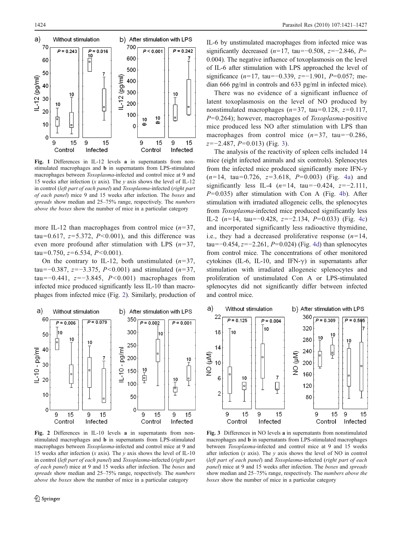<span id="page-3-0"></span>

Fig. 1 Differences in IL-12 levels a in supernatants from nonstimulated macrophages and b in supernatants from LPS-stimulated macrophages between Toxoplasma-infected and control mice at 9 and 15 weeks after infection (x axis). The v axis shows the level of IL-12 in control (left part of each panel) and Toxoplasma-infected (right part of each panel) mice 9 and 15 weeks after infection. The boxes and spreads show median and 25–75% range, respectively. The numbers above the boxes show the number of mice in a particular category

more IL-12 than macrophages from control mice  $(n=37)$ , tau=0.617,  $z=5.372$ ,  $P<0.001$ ), and this difference was even more profound after stimulation with LPS  $(n=37)$ , tau=0.750,  $z=6.534$ ,  $P<0.001$ ).

On the contrary to IL-12, both unstimulated  $(n=37,$ tau=−0.387,  $z=-3.375$ ,  $P<0.001$ ) and stimulated (n=37, tau=−0.441,  $z=-3.845$ ,  $P<0.001$ ) macrophages from infected mice produced significantly less IL-10 than macrophages from infected mice (Fig. 2). Similarly, production of



Fig. 2 Differences in IL-10 levels a in supernatants from nonstimulated macrophages and b in supernatants from LPS-stimulated macrophages between Toxoplasma-infected and control mice at 9 and 15 weeks after infection (x axis). The y axis shows the level of IL-10 in control (left part of each panel) and Toxoplasma-infected (right part of each panel) mice at 9 and 15 weeks after infection. The boxes and spreads show median and 25–75% range, respectively. The *numbers* above the boxes show the number of mice in a particular category

IL-6 by unstimulated macrophages from infected mice was significantly decreased (n=17, tau=−0.508, z=−2.846, P= 0.004). The negative influence of toxoplasmosis on the level of IL-6 after stimulation with LPS approached the level of significance (n=17, tau=−0.339, z=−1.901, P=0.057; median 666 pg/ml in controls and 633 pg/ml in infected mice).

There was no evidence of a significant influence of latent toxoplasmosis on the level of NO produced by nonstimulated macrophages ( $n=37$ , tau=0.128,  $z=0.117$ ,  $P=0.264$ ); however, macrophages of *Toxoplasma*-positive mice produced less NO after stimulation with LPS than macrophages from control mice  $(n=37, \text{ tau}=-0.286,$  $z=-2.487, P=0.013$  (Fig. 3).

The analysis of the reactivity of spleen cells included 14 mice (eight infected animals and six controls). Splenocytes from the infected mice produced significantly more IFN- $\gamma$  $(n=14, \text{ tau}=0.726, z=3.618, P=0.003)$  (Fig. [4a\)](#page-4-0) and significantly less IL-4 ( $n=14$ , tau=−0.424,  $z=-2.111$ ,  $P=0.035$ ) after stimulation with Con A (Fig. [4b\)](#page-4-0). After stimulation with irradiated allogeneic cells, the splenocytes from Toxoplasma-infected mice produced significantly less IL-2 (n=14, tau=−0.428, z=−2.134, P=0.033) (Fig. [4c](#page-4-0)) and incorporated significantly less radioactive thymidine, i.e., they had a decreased proliferative response  $(n=14,$ tau=−0.454,  $z=-2.261$ ,  $P=0.024$ ) (Fig. [4d](#page-4-0)) than splenocytes from control mice. The concentrations of other monitored cytokines (IL-6, IL-10, and IFN- $\gamma$ ) in supernatants after stimulation with irradiated allogeneic splenocytes and proliferation of unstimulated Con A or LPS-stimulated splenocytes did not significantly differ between infected and control mice.



Fig. 3 Differences in NO levels a in supernatants from nonstimulated macrophages and b in supernatants from LPS-stimulated macrophages between Toxoplasma-infected and control mice at 9 and 15 weeks after infection  $(x \text{ axis})$ . The  $y \text{ axis}$  shows the level of NO in control (left part of each panel) and Toxoplasma-infected (right part of each panel) mice at 9 and 15 weeks after infection. The boxes and spreads show median and 25–75% range, respectively. The numbers above the boxes show the number of mice in a particular category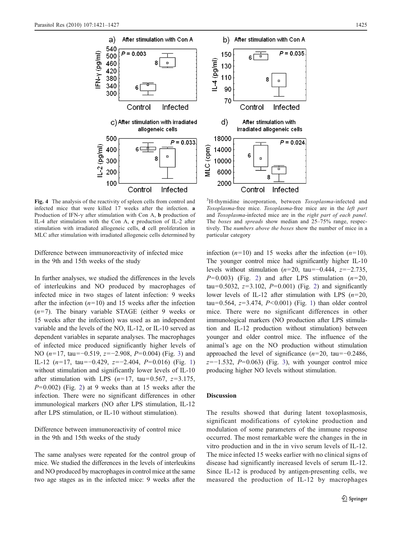<span id="page-4-0"></span>

Fig. 4 The analysis of the reactivity of spleen cells from control and infected mice that were killed 17 weeks after the infection. a Production of IFN- $\gamma$  after stimulation with Con A, **b** production of IL-4 after stimulation with the Con A, c production of IL-2 after stimulation with irradiated allogeneic cells, d cell proliferation in MLC after stimulation with irradiated allogeneic cells determined by

Difference between immunoreactivity of infected mice in the 9th and 15th weeks of the study

In further analyses, we studied the differences in the levels of interleukins and NO produced by macrophages of infected mice in two stages of latent infection: 9 weeks after the infection  $(n=10)$  and 15 weeks after the infection  $(n=7)$ . The binary variable STAGE (either 9 weeks or 15 weeks after the infection) was used as an independent variable and the levels of the NO, IL-12, or IL-10 served as dependent variables in separate analyses. The macrophages of infected mice produced significantly higher levels of NO ( $n=17$ , tau=−0.519,  $z=-2.908$ ,  $P=0.004$ ) (Fig. [3](#page-3-0)) and IL-12 (n=17, tau=−0.429, z=−2.404, P=0.016) (Fig. [1\)](#page-3-0) without stimulation and significantly lower levels of IL-10 after stimulation with LPS  $(n=17, \text{ tau}=0.567, z=3.175,$  $P=0.002$  $P=0.002$ ) (Fig. 2) at 9 weeks than at 15 weeks after the infection. There were no significant differences in other immunological markers (NO after LPS stimulation, IL-12 after LPS stimulation, or IL-10 without stimulation).

Difference between immunoreactivity of control mice in the 9th and 15th weeks of the study

The same analyses were repeated for the control group of mice. We studied the differences in the levels of interleukins and NO produced by macrophages in control mice at the same two age stages as in the infected mice: 9 weeks after the

<sup>3</sup>H-thymidine incorporation, between Toxoplasma-infected and Toxoplasma-free mice. Toxoplasma-free mice are in the left part and Toxoplasma-infected mice are in the right part of each panel. The boxes and spreads show median and 25–75% range, respectively. The numbers above the boxes show the number of mice in a particular category

 $P = 0.035$ 

 $P = 0.024$ 

infection  $(n=10)$  and 15 weeks after the infection  $(n=10)$ . The younger control mice had significantly higher IL-10 levels without stimulation (n=20, tau=−0.444,  $z=-2.735$ ,  $P=0.003$ ) (Fig. [2](#page-3-0)) and after LPS stimulation ( $n=20$ , tau=0.5032,  $z=3.102$ ,  $P=0.001$ ) (Fig. [2\)](#page-3-0) and significantly lower levels of IL-12 after stimulation with LPS  $(n=20,$ tau=0.564,  $z=3.474$ ,  $P<0.001$  $P<0.001$ ) (Fig. 1) than older control mice. There were no significant differences in other immunological markers (NO production after LPS stimulation and IL-12 production without stimulation) between younger and older control mice. The influence of the animal's age on the NO production without stimulation approached the level of significance ( $n=20$ , tau=−0.2486,  $z=-1.532$  $z=-1.532$  $z=-1.532$ ,  $P=0.063$ ) (Fig. 3), with younger control mice producing higher NO levels without stimulation.

## Discussion

The results showed that during latent toxoplasmosis, significant modifications of cytokine production and modulation of some parameters of the immune response occurred. The most remarkable were the changes in the in vitro production and in the in vivo serum levels of IL-12. The mice infected 15 weeks earlier with no clinical signs of disease had significantly increased levels of serum IL-12. Since IL-12 is produced by antigen-presenting cells, we measured the production of IL-12 by macrophages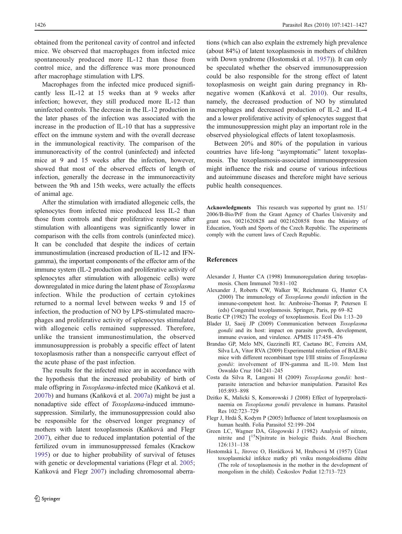<span id="page-5-0"></span>obtained from the peritoneal cavity of control and infected mice. We observed that macrophages from infected mice spontaneously produced more IL-12 than those from control mice, and the difference was more pronounced after macrophage stimulation with LPS.

Macrophages from the infected mice produced significantly less IL-12 at 15 weeks than at 9 weeks after infection; however, they still produced more IL-12 than uninfected controls. The decrease in the IL-12 production in the later phases of the infection was associated with the increase in the production of IL-10 that has a suppressive effect on the immune system and with the overall decrease in the immunological reactivity. The comparison of the immunoreactivity of the control (uninfected) and infected mice at 9 and 15 weeks after the infection, however, showed that most of the observed effects of length of infection, generally the decrease in the immunoreactivity between the 9th and 15th weeks, were actually the effects of animal age.

After the stimulation with irradiated allogeneic cells, the splenocytes from infected mice produced less IL-2 than those from controls and their proliferative response after stimulation with alloantigens was significantly lower in comparison with the cells from controls (uninfected mice). It can be concluded that despite the indices of certain immunostimulation (increased production of IL-12 and IFNgamma), the important components of the effector arm of the immune system (IL-2 production and proliferative activity of splenocytes after stimulation with allogeneic cells) were downregulated in mice during the latent phase of Toxoplasma infection. While the production of certain cytokines returned to a normal level between weeks 9 and 15 of infection, the production of NO by LPS-stimulated macrophages and proliferative activity of splenocytes stimulated with allogeneic cells remained suppressed. Therefore, unlike the transient immunostimulation, the observed immunosuppression is probably a specific effect of latent toxoplasmosis rather than a nonspecific carryout effect of the acute phase of the past infection.

The results for the infected mice are in accordance with the hypothesis that the increased probability of birth of male offspring in Toxoplasma-infected mice (Kaňková et al. [2007b\)](#page-6-0) and humans (Kaňková et al. [2007a\)](#page-6-0) might be just a nonadaptive side effect of Toxoplasma-induced immunosuppression. Similarly, the immunosuppression could also be responsible for the observed longer pregnancy of mothers with latent toxoplasmosis (Kaňková and Flegr [2007\)](#page-6-0), either due to reduced implantation potential of the fertilized ovum in immunosuppressed females (Krackow [1995\)](#page-6-0) or due to higher probability of survival of fetuses with genetic or developmental variations (Flegr et al. 2005; Kaňková and Flegr [2007](#page-6-0)) including chromosomal aberra-

tions (which can also explain the extremely high prevalence (about 84%) of latent toxoplasmosis in mothers of children with Down syndrome (Hostomská et al. 1957)). It can only be speculated whether the observed immunosuppression could be also responsible for the strong effect of latent toxoplasmosis on weight gain during pregnancy in Rhnegative women (Kaňková et al. [2010\)](#page-6-0). Our results, namely, the decreased production of NO by stimulated macrophages and decreased production of IL-2 and IL-4 and a lower proliferative activity of splenocytes suggest that the immunosuppression might play an important role in the observed physiological effects of latent toxoplasmosis.

Between 20% and 80% of the population in various countries have life-long "asymptomatic" latent toxoplasmosis. The toxoplasmosis-associated immunosuppression might influence the risk and course of various infectious and autoimmune diseases and therefore might have serious public health consequences.

Acknowledgments This research was supported by grant no. 151/ 2006/B-Bio/PrF from the Grant Agency of Charles University and grant nos. 0021620828 and 0021620858 from the Ministry of Education, Youth and Sports of the Czech Republic. The experiments comply with the current laws of Czech Republic.

### References

- Alexander J, Hunter CA (1998) Immunoregulation during toxoplasmosis. Chem Immunol 70:81–102
- Alexander J, Roberts CW, Walker W, Reichmann G, Hunter CA (2000) The immunology of Toxoplasma gondii infection in the immune-competent host. In: Ambroise-Thomas P, Petersen E (eds) Congenital toxoplasmosis. Springer, Paris, pp 69–82
- Beatie CP (1982) The ecology of toxoplasmosis. Ecol Dis 1:13–20
- Blader IJ, Saeij JP (2009) Communication between Toxoplasma gondii and its host: impact on parasite growth, development, immune evasion, and virulence. APMIS 117:458–476
- Brandao GP, Melo MN, Gazzinelli RT, Caetano BC, Ferreira AM, Silva LA, Vitor RVA (2009) Experimental reinfection of BALB/c mice with different recombinant type I/III strains of Toxoplasma gondii: involvement of IFN-gamma and IL-10. Mem Inst Oswaldo Cruz 104:241–245
- Costa da Silva R, Langoni H (2009) Toxoplasma gondii: host– parasite interaction and behavior manipulation. Parasitol Res 105:893–898
- Dzitko K, Malicki S, Komorowski J (2008) Effect of hyperprolactinaemia on Toxoplasma gondii prevalence in humans. Parasitol Res 102:723–729
- Flegr J, Hrdá Š, Kodym P (2005) Influence of latent toxoplasmosis on human health. Folia Parasitol 52:199–204
- Green LC, Wagner DA, Glogowski J (1982) Analysis of nitrate, nitrite and [<sup>15</sup>N]nitrate in biologic fluids. Anal Biochem 126:131–138
- Hostomská L, Jírovec O, Horáčková M, Hrubcová M (1957) Účast toxoplasmické infekce matky při vniku mongoloidismu dítěte (The role of toxoplasmosis in the mother in the development of mongolism in the child). Českoslov Pediat 12:713–723